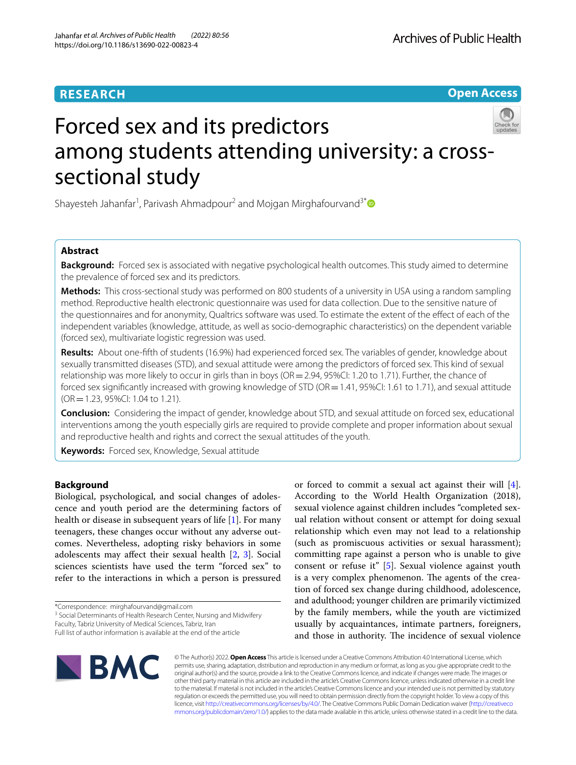## **RESEARCH**

**Open Access**

# Forced sex and its predictors among students attending university: a crosssectional study

Shayesteh Jahanfar<sup>1</sup>, Parivash Ahmadpour<sup>2</sup> and Mojgan Mirghafourvand<sup>3[\\*](http://orcid.org/0000-0001-8360-4309)</sup>

## **Abstract**

**Background:** Forced sex is associated with negative psychological health outcomes. This study aimed to determine the prevalence of forced sex and its predictors.

**Methods:** This cross-sectional study was performed on 800 students of a university in USA using a random sampling method. Reproductive health electronic questionnaire was used for data collection. Due to the sensitive nature of the questionnaires and for anonymity, Qualtrics software was used. To estimate the extent of the efect of each of the independent variables (knowledge, attitude, as well as socio-demographic characteristics) on the dependent variable (forced sex), multivariate logistic regression was used.

**Results:** About one-ffth of students (16.9%) had experienced forced sex. The variables of gender, knowledge about sexually transmitted diseases (STD), and sexual attitude were among the predictors of forced sex. This kind of sexual relationship was more likely to occur in girls than in boys ( $OR = 2.94$ ,  $95\%$ CI: 1.20 to 1.71). Further, the chance of forced sex significantly increased with growing knowledge of STD (OR = 1.41, 95%CI: 1.61 to 1.71), and sexual attitude (OR=1.23, 95%CI: 1.04 to 1.21).

**Conclusion:** Considering the impact of gender, knowledge about STD, and sexual attitude on forced sex, educational interventions among the youth especially girls are required to provide complete and proper information about sexual and reproductive health and rights and correct the sexual attitudes of the youth.

**Keywords:** Forced sex, Knowledge, Sexual attitude

## **Background**

Biological, psychological, and social changes of adolescence and youth period are the determining factors of health or disease in subsequent years of life [\[1\]](#page-8-0). For many teenagers, these changes occur without any adverse outcomes. Nevertheless, adopting risky behaviors in some adolescents may afect their sexual health [[2](#page-8-1), [3\]](#page-8-2). Social sciences scientists have used the term "forced sex" to refer to the interactions in which a person is pressured

\*Correspondence: mirghafourvand@gmail.com

<sup>3</sup> Social Determinants of Health Research Center, Nursing and Midwifery

or forced to commit a sexual act against their will [\[4](#page-8-3)]. According to the World Health Organization (2018), sexual violence against children includes "completed sexual relation without consent or attempt for doing sexual relationship which even may not lead to a relationship (such as promiscuous activities or sexual harassment); committing rape against a person who is unable to give consent or refuse it" [\[5](#page-8-4)]. Sexual violence against youth is a very complex phenomenon. The agents of the creation of forced sex change during childhood, adolescence, and adulthood; younger children are primarily victimized by the family members, while the youth are victimized usually by acquaintances, intimate partners, foreigners, and those in authority. The incidence of sexual violence



© The Author(s) 2022. **Open Access** This article is licensed under a Creative Commons Attribution 4.0 International License, which permits use, sharing, adaptation, distribution and reproduction in any medium or format, as long as you give appropriate credit to the original author(s) and the source, provide a link to the Creative Commons licence, and indicate if changes were made. The images or other third party material in this article are included in the article's Creative Commons licence, unless indicated otherwise in a credit line to the material. If material is not included in the article's Creative Commons licence and your intended use is not permitted by statutory regulation or exceeds the permitted use, you will need to obtain permission directly from the copyright holder. To view a copy of this licence, visit [http://creativecommons.org/licenses/by/4.0/.](http://creativecommons.org/licenses/by/4.0/) The Creative Commons Public Domain Dedication waiver ([http://creativeco](http://creativecommons.org/publicdomain/zero/1.0/) [mmons.org/publicdomain/zero/1.0/](http://creativecommons.org/publicdomain/zero/1.0/)) applies to the data made available in this article, unless otherwise stated in a credit line to the data.

Faculty, Tabriz University of Medical Sciences, Tabriz, Iran

Full list of author information is available at the end of the article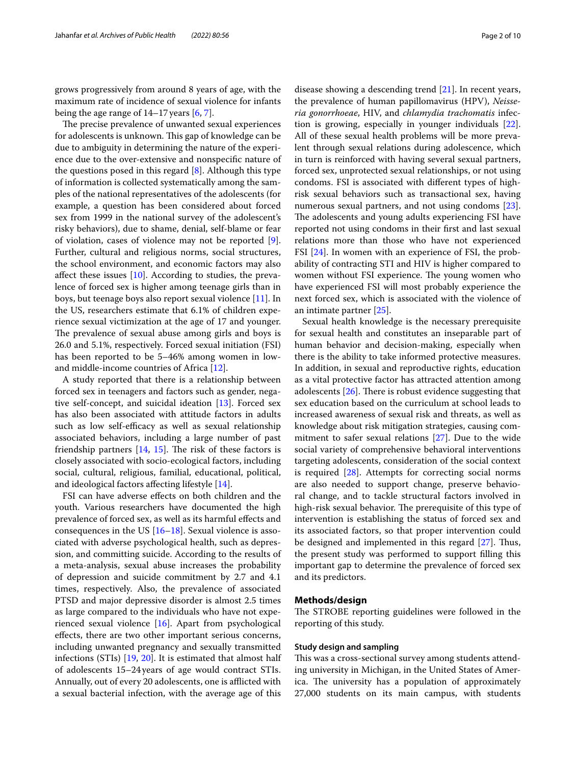grows progressively from around 8 years of age, with the maximum rate of incidence of sexual violence for infants being the age range of 14–17years [[6,](#page-8-5) [7](#page-8-6)].

The precise prevalence of unwanted sexual experiences for adolescents is unknown. This gap of knowledge can be due to ambiguity in determining the nature of the experience due to the over-extensive and nonspecifc nature of the questions posed in this regard [\[8](#page-8-7)]. Although this type of information is collected systematically among the samples of the national representatives of the adolescents (for example, a question has been considered about forced sex from 1999 in the national survey of the adolescent's risky behaviors), due to shame, denial, self-blame or fear of violation, cases of violence may not be reported [\[9](#page-8-8)]. Further, cultural and religious norms, social structures, the school environment, and economic factors may also affect these issues  $[10]$  $[10]$  $[10]$ . According to studies, the prevalence of forced sex is higher among teenage girls than in boys, but teenage boys also report sexual violence [\[11](#page-8-10)]. In the US, researchers estimate that 6.1% of children experience sexual victimization at the age of 17 and younger. The prevalence of sexual abuse among girls and boys is 26.0 and 5.1%, respectively. Forced sexual initiation (FSI) has been reported to be 5–46% among women in lowand middle-income countries of Africa [[12](#page-8-11)].

A study reported that there is a relationship between forced sex in teenagers and factors such as gender, negative self-concept, and suicidal ideation [\[13](#page-8-12)]. Forced sex has also been associated with attitude factors in adults such as low self-efficacy as well as sexual relationship associated behaviors, including a large number of past friendship partners  $[14, 15]$  $[14, 15]$  $[14, 15]$ . The risk of these factors is closely associated with socio-ecological factors, including social, cultural, religious, familial, educational, political, and ideological factors afecting lifestyle [\[14](#page-8-13)].

FSI can have adverse efects on both children and the youth. Various researchers have documented the high prevalence of forced sex, as well as its harmful efects and consequences in the US  $[16–18]$  $[16–18]$  $[16–18]$  $[16–18]$ . Sexual violence is associated with adverse psychological health, such as depression, and committing suicide. According to the results of a meta-analysis, sexual abuse increases the probability of depression and suicide commitment by 2.7 and 4.1 times, respectively. Also, the prevalence of associated PTSD and major depressive disorder is almost 2.5 times as large compared to the individuals who have not experienced sexual violence [[16\]](#page-8-15). Apart from psychological efects, there are two other important serious concerns, including unwanted pregnancy and sexually transmitted infections (STIs) [\[19,](#page-8-17) [20\]](#page-8-18). It is estimated that almost half of adolescents 15–24years of age would contract STIs. Annually, out of every 20 adolescents, one is afflicted with a sexual bacterial infection, with the average age of this

disease showing a descending trend [\[21](#page-8-19)]. In recent years, the prevalence of human papillomavirus (HPV), *Neisseria gonorrhoeae*, HIV, and *chlamydia trachomatis* infection is growing, especially in younger individuals [\[22](#page-9-0)]. All of these sexual health problems will be more prevalent through sexual relations during adolescence, which in turn is reinforced with having several sexual partners, forced sex, unprotected sexual relationships, or not using condoms. FSI is associated with diferent types of highrisk sexual behaviors such as transactional sex, having numerous sexual partners, and not using condoms [\[23](#page-9-1)]. The adolescents and young adults experiencing FSI have reported not using condoms in their frst and last sexual relations more than those who have not experienced FSI [\[24](#page-9-2)]. In women with an experience of FSI, the probability of contracting STI and HIV is higher compared to women without FSI experience. The young women who have experienced FSI will most probably experience the next forced sex, which is associated with the violence of an intimate partner [\[25](#page-9-3)].

Sexual health knowledge is the necessary prerequisite for sexual health and constitutes an inseparable part of human behavior and decision-making, especially when there is the ability to take informed protective measures. In addition, in sexual and reproductive rights, education as a vital protective factor has attracted attention among adolescents  $[26]$  $[26]$ . There is robust evidence suggesting that sex education based on the curriculum at school leads to increased awareness of sexual risk and threats, as well as knowledge about risk mitigation strategies, causing commitment to safer sexual relations [\[27](#page-9-5)]. Due to the wide social variety of comprehensive behavioral interventions targeting adolescents, consideration of the social context is required [[28](#page-9-6)]. Attempts for correcting social norms are also needed to support change, preserve behavioral change, and to tackle structural factors involved in high-risk sexual behavior. The prerequisite of this type of intervention is establishing the status of forced sex and its associated factors, so that proper intervention could be designed and implemented in this regard  $[27]$  $[27]$ . Thus, the present study was performed to support flling this important gap to determine the prevalence of forced sex and its predictors.

## **Methods/design**

The STROBE reporting guidelines were followed in the reporting of this study.

## **Study design and sampling**

This was a cross-sectional survey among students attending university in Michigan, in the United States of America. The university has a population of approximately 27,000 students on its main campus, with students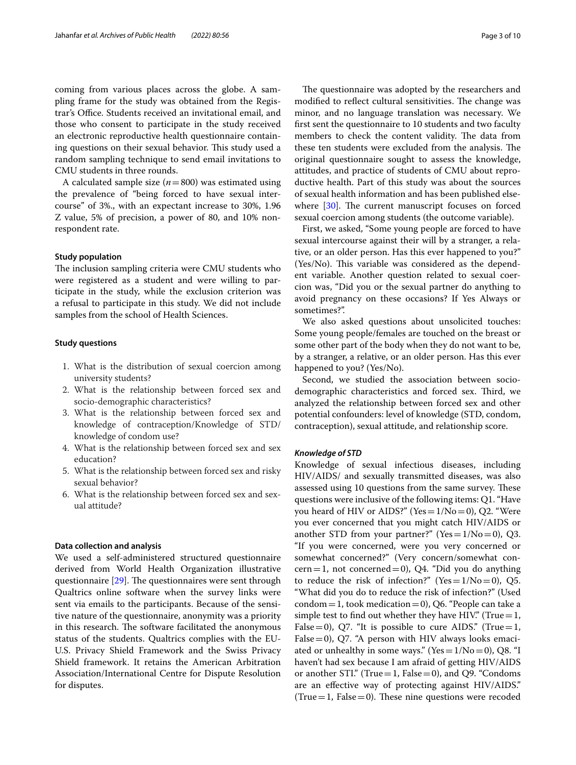coming from various places across the globe. A sampling frame for the study was obtained from the Registrar's Office. Students received an invitational email, and those who consent to participate in the study received an electronic reproductive health questionnaire containing questions on their sexual behavior. This study used a random sampling technique to send email invitations to CMU students in three rounds.

A calculated sample size (*n*=800) was estimated using the prevalence of "being forced to have sexual intercourse" of 3%., with an expectant increase to 30%, 1.96 Z value, 5% of precision, a power of 80, and 10% nonrespondent rate.

## **Study population**

The inclusion sampling criteria were CMU students who were registered as a student and were willing to participate in the study, while the exclusion criterion was a refusal to participate in this study. We did not include samples from the school of Health Sciences.

## **Study questions**

- 1. What is the distribution of sexual coercion among university students?
- 2. What is the relationship between forced sex and socio-demographic characteristics?
- 3. What is the relationship between forced sex and knowledge of contraception/Knowledge of STD/ knowledge of condom use?
- 4. What is the relationship between forced sex and sex education?
- 5. What is the relationship between forced sex and risky sexual behavior?
- 6. What is the relationship between forced sex and sexual attitude?

## **Data collection and analysis**

We used a self-administered structured questionnaire derived from World Health Organization illustrative questionnaire  $[29]$  $[29]$ . The questionnaires were sent through Qualtrics online software when the survey links were sent via emails to the participants. Because of the sensitive nature of the questionnaire, anonymity was a priority in this research. The software facilitated the anonymous status of the students. Qualtrics complies with the EU-U.S. Privacy Shield Framework and the Swiss Privacy Shield framework. It retains the American Arbitration Association/International Centre for Dispute Resolution for disputes.

The questionnaire was adopted by the researchers and modified to reflect cultural sensitivities. The change was minor, and no language translation was necessary. We frst sent the questionnaire to 10 students and two faculty members to check the content validity. The data from these ten students were excluded from the analysis. The original questionnaire sought to assess the knowledge, attitudes, and practice of students of CMU about reproductive health. Part of this study was about the sources of sexual health information and has been published elsewhere  $[30]$  $[30]$ . The current manuscript focuses on forced sexual coercion among students (the outcome variable).

First, we asked, "Some young people are forced to have sexual intercourse against their will by a stranger, a relative, or an older person. Has this ever happened to you?"  $(Yes/No)$ . This variable was considered as the dependent variable. Another question related to sexual coercion was, "Did you or the sexual partner do anything to avoid pregnancy on these occasions? If Yes Always or sometimes?".

We also asked questions about unsolicited touches: Some young people/females are touched on the breast or some other part of the body when they do not want to be, by a stranger, a relative, or an older person. Has this ever happened to you? (Yes/No).

Second, we studied the association between sociodemographic characteristics and forced sex. Third, we analyzed the relationship between forced sex and other potential confounders: level of knowledge (STD, condom, contraception), sexual attitude, and relationship score.

## *Knowledge of STD*

Knowledge of sexual infectious diseases, including HIV/AIDS/ and sexually transmitted diseases, was also assessed using 10 questions from the same survey. These questions were inclusive of the following items: Q1. "Have you heard of HIV or AIDS?" (Yes=1/No=0), Q2. "Were you ever concerned that you might catch HIV/AIDS or another STD from your partner?" (Yes =  $1/No=0$ ), Q3. "If you were concerned, were you very concerned or somewhat concerned?" (Very concern/somewhat con $cern = 1$ , not concerned = 0), Q4. "Did you do anything to reduce the risk of infection?" (Yes =  $1/No=0$ ), Q5. "What did you do to reduce the risk of infection?" (Used  $\text{condom}=1$ , took medication=0), Q6. "People can take a simple test to find out whether they have HIV." (True =  $1$ , False=0), Q7. "It is possible to cure AIDS." (True=1, False  $=$  0), Q7. "A person with HIV always looks emaciated or unhealthy in some ways." (Yes =  $1/No=0$ ), Q8. "I haven't had sex because I am afraid of getting HIV/AIDS or another STI." (True=1, False=0), and Q9. "Condoms are an efective way of protecting against HIV/AIDS." (True = 1, False = 0). These nine questions were recoded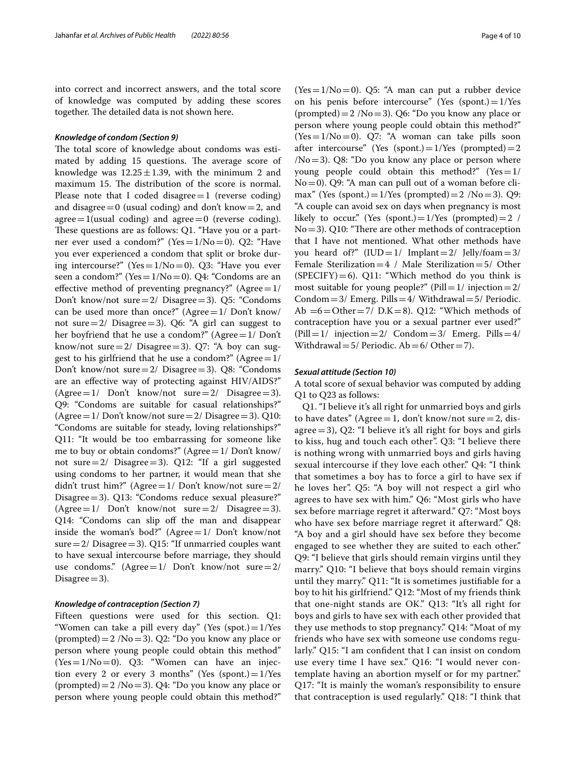into correct and incorrect answers, and the total score of knowledge was computed by adding these scores together. The detailed data is not shown here.

## *Knowledge of condom (Section 9)*

The total score of knowledge about condoms was estimated by adding 15 questions. The average score of knowledge was  $12.25 \pm 1.39$ , with the minimum 2 and maximum 15. The distribution of the score is normal. Please note that I coded disagree $=1$  (reverse coding) and disagree  $=0$  (usual coding) and don't know  $=2$ , and agree  $=1$ (usual coding) and agree  $=0$  (reverse coding). These questions are as follows: Q1. "Have you or a partner ever used a condom?" (Yes=1/No=0). Q2: "Have you ever experienced a condom that split or broke during intercourse?" (Yes =  $1/No=0$ ). Q3: "Have you ever seen a condom?" (Yes =  $1/No=0$ ). Q4: "Condoms are an effective method of preventing pregnancy?"  $(A\text{gree}=1/$ Don't know/not sure=2/ Disagree=3). Q5: "Condoms can be used more than once?" (Agree= $1/$  Don't know/ not sure  $=2/$  Disagree  $=3$ ). Q6: "A girl can suggest to her boyfriend that he use a condom?" (Agree=1/ Don't know/not sure=2/ Disagree=3). Q7: "A boy can suggest to his girlfriend that he use a condom?" (Agree $=1/$ Don't know/not sure=2/ Disagree=3). Q8: "Condoms are an efective way of protecting against HIV/AIDS?"  $(Agree=1/$  Don't know/not sure = 2/ Disagree = 3). Q9: "Condoms are suitable for casual relationships?" (Agree =  $1/$  Don't know/not sure =  $2/$  Disagree = 3). Q10: "Condoms are suitable for steady, loving relationships?" Q11: "It would be too embarrassing for someone like me to buy or obtain condoms?" (Agree  $=1/$  Don't know/ not sure=2/ Disagree=3). Q12: "If a girl suggested using condoms to her partner, it would mean that she didn't trust him?" (Agree= $1/$  Don't know/not sure= $2/$ Disagree=3). Q13: "Condoms reduce sexual pleasure?"  $(Agree=1/$  Don't know/not sure  $=2/$  Disagree  $=3$ ). Q14: "Condoms can slip of the man and disappear inside the woman's bod?" (Agree $=1/$  Don't know/not sure= $2/$  Disagree= $3$ ). Q15: "If unmarried couples want to have sexual intercourse before marriage, they should use condoms."  $(A\text{gree}=1/$  Don't know/not sure=2/ Disagree $=$ 3).

## *Knowledge of contraception (Section 7)*

Fifteen questions were used for this section. Q1: "Women can take a pill every day" (Yes  $(spot.) = 1$ /Yes (prompted) =  $2 / No = 3$ ). Q2: "Do you know any place or person where young people could obtain this method" (Yes=1/No=0). Q3: "Women can have an injection every 2 or every 3 months" (Yes (spont.) $=1$ /Yes (prompted) =  $2 / No = 3$ ). Q4: "Do you know any place or person where young people could obtain this method?"

 $(Yes=1/No=0)$ . Q5: "A man can put a rubber device on his penis before intercourse" (Yes  $(spoint.) = 1$ /Yes (prompted) =  $2 / No = 3$ ). Q6: "Do you know any place or person where young people could obtain this method?"  $(Yes=1/No=0)$ . Q7: "A woman can take pills soon after intercourse" (Yes (spont.)= $1$ /Yes (prompted)=2  $/No=3$ ). Q8: "Do you know any place or person where young people could obtain this method?" (Yes =  $1/$ No=0). Q9: "A man can pull out of a woman before climax" (Yes (spont.)= $1$ /Yes (prompted)= $2$  /No=3). Q9: "A couple can avoid sex on days when pregnancy is most likely to occur." (Yes (spont.)= $1$ /Yes (prompted)=2 /  $No = 3$ ). Q10: "There are other methods of contraception that I have not mentioned. What other methods have you heard of?"  $(IUD=1/ Implant=2/ Jelly/foam=3/$ Female Sterilization =  $4 /$  Male Sterilization =  $5/$  Other  $(SPECTFY)=6$ ). Q11: "Which method do you think is most suitable for young people?" (Pill= $1/$  injection= $2/$ Condom =  $3/$  Emerg. Pills =  $4/$  Withdrawal =  $5/$  Periodic. Ab  $=6$  = Other = 7/ D.K = 8). Q12: "Which methods of contraception have you or a sexual partner ever used?"  $(Pill=1/$  injection = 2/ Condom = 3/ Emerg. Pills = 4/ Withdrawal =  $5/$  Periodic. Ab =  $6/$  Other = 7).

## *Sexual attitude (Section 10)*

A total score of sexual behavior was computed by adding Q1 to Q23 as follows:

Q1. "I believe it's all right for unmarried boys and girls to have dates" (Agree = 1, don't know/not sure = 2, disagree  $=$  3), Q2: "I believe it's all right for boys and girls to kiss, hug and touch each other". Q3: "I believe there is nothing wrong with unmarried boys and girls having sexual intercourse if they love each other." Q4: "I think that sometimes a boy has to force a girl to have sex if he loves her". Q5: "A boy will not respect a girl who agrees to have sex with him." Q6: "Most girls who have sex before marriage regret it afterward." Q7: "Most boys who have sex before marriage regret it afterward." Q8: "A boy and a girl should have sex before they become engaged to see whether they are suited to each other." Q9: "I believe that girls should remain virgins until they marry." Q10: "I believe that boys should remain virgins until they marry." Q11: "It is sometimes justifable for a boy to hit his girlfriend." Q12: "Most of my friends think that one-night stands are OK." Q13: "It's all right for boys and girls to have sex with each other provided that they use methods to stop pregnancy." Q14: "Moat of my friends who have sex with someone use condoms regularly." Q15: "I am confdent that I can insist on condom use every time I have sex." Q16: "I would never contemplate having an abortion myself or for my partner." Q17: "It is mainly the woman's responsibility to ensure that contraception is used regularly." Q18: "I think that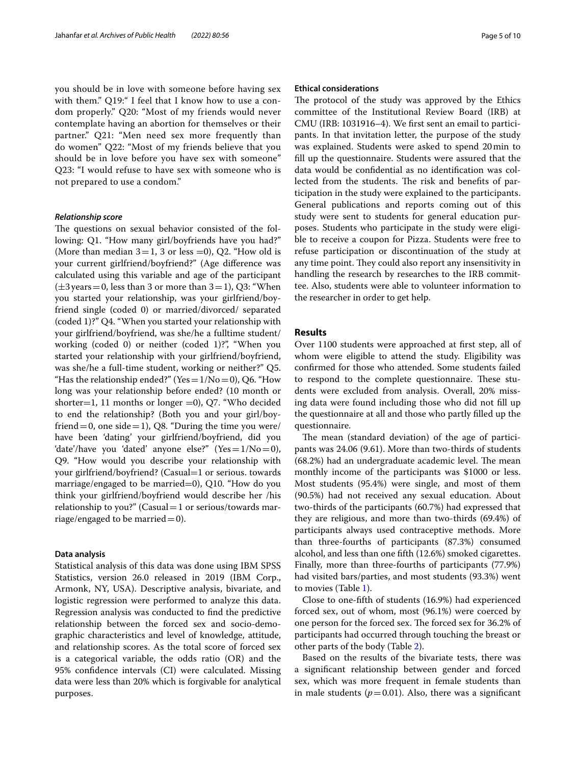you should be in love with someone before having sex with them." Q19:" I feel that I know how to use a condom properly." Q20: "Most of my friends would never contemplate having an abortion for themselves or their partner." Q21: "Men need sex more frequently than do women" Q22: "Most of my friends believe that you should be in love before you have sex with someone" Q23: "I would refuse to have sex with someone who is not prepared to use a condom."

#### *Relationship score*

The questions on sexual behavior consisted of the following: Q1. "How many girl/boyfriends have you had?" (More than median  $3=1$ , 3 or less =0), Q2. "How old is your current girlfriend/boyfriend?" (Age diference was calculated using this variable and age of the participant  $(\pm 3 \,\text{years}=0, \text{less than } 3 \text{ or more than } 3=1), \text{Q3: } \text{``When}$ you started your relationship, was your girlfriend/boyfriend single (coded 0) or married/divorced/ separated (coded 1)?" Q4. "When you started your relationship with your girlfriend/boyfriend, was she/he a fulltime student/ working (coded 0) or neither (coded 1)?", "When you started your relationship with your girlfriend/boyfriend, was she/he a full-time student, working or neither?" Q5. "Has the relationship ended?" (Yes =  $1/No=0$ ), Q6. "How long was your relationship before ended? (10 month or shorter=1, 11 months or longer =0), Q7. "Who decided to end the relationship? (Both you and your girl/boyfriend = 0, one side = 1), Q8. "During the time you were/ have been 'dating' your girlfriend/boyfriend, did you 'date'/have you 'dated' anyone else?" (Yes= $1/No=0$ ), Q9. "How would you describe your relationship with your girlfriend/boyfriend? (Casual=1 or serious. towards marriage/engaged to be married=0), Q10. "How do you think your girlfriend/boyfriend would describe her /his relationship to you?" (Casual = 1 or serious/towards marriage/engaged to be married  $=0$ ).

## **Data analysis**

Statistical analysis of this data was done using IBM SPSS Statistics, version 26.0 released in 2019 (IBM Corp., Armonk, NY, USA). Descriptive analysis, bivariate, and logistic regression were performed to analyze this data. Regression analysis was conducted to fnd the predictive relationship between the forced sex and socio-demographic characteristics and level of knowledge, attitude, and relationship scores. As the total score of forced sex is a categorical variable, the odds ratio (OR) and the 95% confdence intervals (CI) were calculated. Missing data were less than 20% which is forgivable for analytical purposes.

## **Ethical considerations**

The protocol of the study was approved by the Ethics committee of the Institutional Review Board (IRB) at CMU (IRB: 1031916–4). We frst sent an email to participants. In that invitation letter, the purpose of the study was explained. Students were asked to spend 20min to fll up the questionnaire. Students were assured that the data would be confdential as no identifcation was collected from the students. The risk and benefits of participation in the study were explained to the participants. General publications and reports coming out of this study were sent to students for general education purposes. Students who participate in the study were eligible to receive a coupon for Pizza. Students were free to refuse participation or discontinuation of the study at any time point. They could also report any insensitivity in handling the research by researches to the IRB committee. Also, students were able to volunteer information to the researcher in order to get help.

## **Results**

Over 1100 students were approached at frst step, all of whom were eligible to attend the study. Eligibility was confrmed for those who attended. Some students failed to respond to the complete questionnaire. These students were excluded from analysis. Overall, 20% missing data were found including those who did not fll up the questionnaire at all and those who partly flled up the questionnaire.

The mean (standard deviation) of the age of participants was 24.06 (9.61). More than two-thirds of students (68.2%) had an undergraduate academic level. The mean monthly income of the participants was \$1000 or less. Most students (95.4%) were single, and most of them (90.5%) had not received any sexual education. About two-thirds of the participants (60.7%) had expressed that they are religious, and more than two-thirds (69.4%) of participants always used contraceptive methods. More than three-fourths of participants (87.3%) consumed alcohol, and less than one ffth (12.6%) smoked cigarettes. Finally, more than three-fourths of participants (77.9%) had visited bars/parties, and most students (93.3%) went to movies (Table [1](#page-5-0)).

Close to one-ffth of students (16.9%) had experienced forced sex, out of whom, most (96.1%) were coerced by one person for the forced sex. The forced sex for 36.2% of participants had occurred through touching the breast or other parts of the body (Table [2](#page-6-0)).

Based on the results of the bivariate tests, there was a signifcant relationship between gender and forced sex, which was more frequent in female students than in male students  $(p=0.01)$ . Also, there was a significant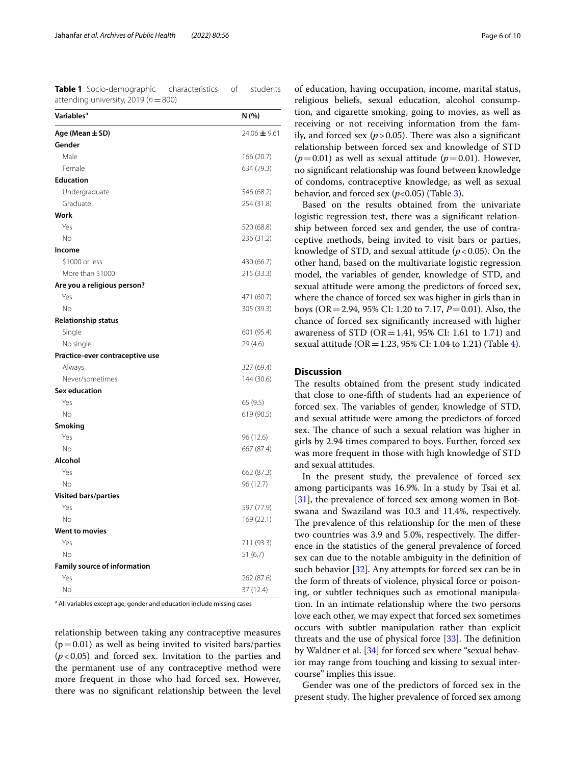<span id="page-5-0"></span>**Table 1** Socio-demographic characteristics of students attending university, 2019 (*n*=800)

| Variables <sup>a</sup>              | N (%)        |
|-------------------------------------|--------------|
| Age (Mean ± SD)                     | 24.06 ± 9.61 |
| Gender                              |              |
| Male                                | 166 (20.7)   |
| Female                              | 634 (79.3)   |
| <b>Education</b>                    |              |
| Undergraduate                       | 546 (68.2)   |
| Graduate                            | 254 (31.8)   |
| Work                                |              |
| Yes                                 | 520 (68.8)   |
| No                                  | 236 (31.2)   |
| Income                              |              |
| \$1000 or less                      | 430 (66.7)   |
| More than \$1000                    | 215 (33.3)   |
| Are you a religious person?         |              |
| Yes                                 | 471 (60.7)   |
| No                                  | 305 (39.3)   |
| <b>Relationship status</b>          |              |
| Single                              | 601 (95.4)   |
| No single                           | 29 (4.6)     |
| Practice-ever contraceptive use     |              |
| Always                              | 327 (69.4)   |
| Never/sometimes                     | 144 (30.6)   |
| <b>Sex education</b>                |              |
| Yes                                 | 65 (9.5)     |
| No                                  | 619 (90.5)   |
| <b>Smoking</b>                      |              |
| Yes                                 | 96 (12.6)    |
| No                                  | 667 (87.4)   |
| Alcohol                             |              |
| Yes                                 | 662 (87.3)   |
| No                                  | 96 (12.7)    |
| <b>Visited bars/parties</b>         |              |
| Yes                                 | 597 (77.9)   |
| No                                  | 169 (22.1)   |
| <b>Went to movies</b>               |              |
| Yes                                 | 711 (93.3)   |
| No                                  | 51(6.7)      |
| <b>Family source of information</b> |              |
| Yes                                 | 262 (87.6)   |
| No                                  | 37 (12.4)    |

<sup>a</sup> All variables except age, gender and education include missing cases

relationship between taking any contraceptive measures  $(p=0.01)$  as well as being invited to visited bars/parties (*p*<0.05) and forced sex. Invitation to the parties and the permanent use of any contraceptive method were more frequent in those who had forced sex. However, there was no signifcant relationship between the level

of education, having occupation, income, marital status, religious beliefs, sexual education, alcohol consumption, and cigarette smoking, going to movies, as well as receiving or not receiving information from the family, and forced sex  $(p > 0.05)$ . There was also a significant relationship between forced sex and knowledge of STD  $(p=0.01)$  as well as sexual attitude  $(p=0.01)$ . However, no signifcant relationship was found between knowledge of condoms, contraceptive knowledge, as well as sexual behavior, and forced sex  $(p<0.05)$  (Table [3](#page-7-0)).

Based on the results obtained from the univariate logistic regression test, there was a signifcant relationship between forced sex and gender, the use of contraceptive methods, being invited to visit bars or parties, knowledge of STD, and sexual attitude  $(p<0.05)$ . On the other hand, based on the multivariate logistic regression model, the variables of gender, knowledge of STD, and sexual attitude were among the predictors of forced sex, where the chance of forced sex was higher in girls than in boys (OR=2.94, 95% CI: 1.20 to 7.17, *P*=0.01). Also, the chance of forced sex signifcantly increased with higher awareness of STD (OR=1.41, 95% CI: 1.61 to 1.71) and sexual attitude ( $OR = 1.23$ , 95% CI: 1.04 to 1.21) (Table [4](#page-7-1)).

## **Discussion**

The results obtained from the present study indicated that close to one-ffth of students had an experience of forced sex. The variables of gender, knowledge of STD, and sexual attitude were among the predictors of forced sex. The chance of such a sexual relation was higher in girls by 2.94 times compared to boys. Further, forced sex was more frequent in those with high knowledge of STD and sexual attitudes.

In the present study, the prevalence of forced sex among participants was 16.9%. In a study by Tsai et al. [[31\]](#page-9-9), the prevalence of forced sex among women in Botswana and Swaziland was 10.3 and 11.4%, respectively. The prevalence of this relationship for the men of these two countries was 3.9 and 5.0%, respectively. The difference in the statistics of the general prevalence of forced sex can due to the notable ambiguity in the defnition of such behavior [\[32](#page-9-10)]. Any attempts for forced sex can be in the form of threats of violence, physical force or poisoning, or subtler techniques such as emotional manipulation. In an intimate relationship where the two persons love each other, we may expect that forced sex sometimes occurs with subtler manipulation rather than explicit threats and the use of physical force  $[33]$  $[33]$ . The definition by Waldner et al. [\[34](#page-9-12)] for forced sex where "sexual behavior may range from touching and kissing to sexual intercourse" implies this issue.

Gender was one of the predictors of forced sex in the present study. The higher prevalence of forced sex among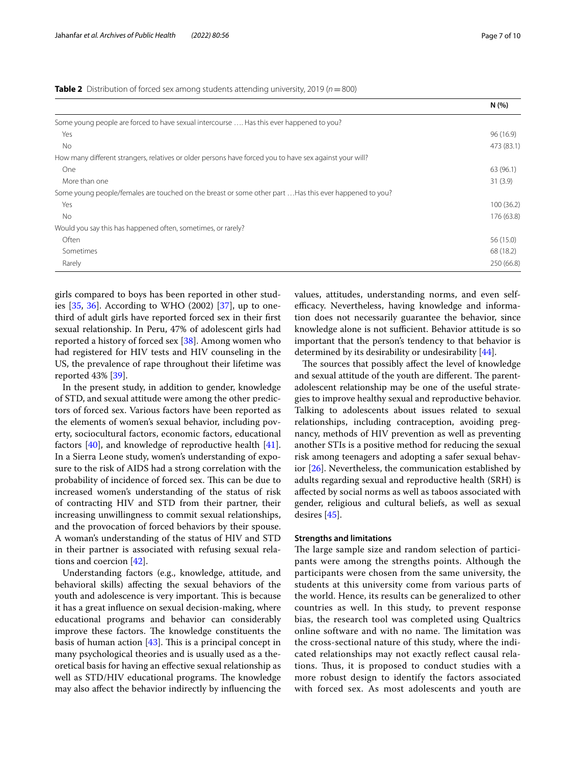<span id="page-6-0"></span>

|                                                                                                         | N(%        |
|---------------------------------------------------------------------------------------------------------|------------|
| Some young people are forced to have sexual intercourse  Has this ever happened to you?                 |            |
| Yes                                                                                                     | 96 (16.9)  |
| No.                                                                                                     | 473 (83.1) |
| How many different strangers, relatives or older persons have forced you to have sex against your will? |            |
| One                                                                                                     | 63 (96.1)  |
| More than one                                                                                           | 31(3.9)    |
| Some young people/females are touched on the breast or some other part  Has this ever happened to you?  |            |
| Yes                                                                                                     | 100(36.2)  |
| No.                                                                                                     | 176 (63.8) |
| Would you say this has happened often, sometimes, or rarely?                                            |            |
| <b>Often</b>                                                                                            | 56 (15.0)  |
| Sometimes                                                                                               | 68 (18.2)  |
| Rarely                                                                                                  | 250 (66.8) |

girls compared to boys has been reported in other studies [\[35](#page-9-13), [36\]](#page-9-14). According to WHO (2002) [\[37](#page-9-15)], up to onethird of adult girls have reported forced sex in their frst sexual relationship. In Peru, 47% of adolescent girls had reported a history of forced sex [[38\]](#page-9-16). Among women who had registered for HIV tests and HIV counseling in the US, the prevalence of rape throughout their lifetime was reported 43% [[39\]](#page-9-17).

In the present study, in addition to gender, knowledge of STD, and sexual attitude were among the other predictors of forced sex. Various factors have been reported as the elements of women's sexual behavior, including poverty, sociocultural factors, economic factors, educational factors  $[40]$ , and knowledge of reproductive health  $[41]$  $[41]$ . In a Sierra Leone study, women's understanding of exposure to the risk of AIDS had a strong correlation with the probability of incidence of forced sex. This can be due to increased women's understanding of the status of risk of contracting HIV and STD from their partner, their increasing unwillingness to commit sexual relationships, and the provocation of forced behaviors by their spouse. A woman's understanding of the status of HIV and STD in their partner is associated with refusing sexual relations and coercion [[42\]](#page-9-20).

Understanding factors (e.g., knowledge, attitude, and behavioral skills) afecting the sexual behaviors of the youth and adolescence is very important. This is because it has a great infuence on sexual decision-making, where educational programs and behavior can considerably improve these factors. The knowledge constituents the basis of human action  $[43]$  $[43]$ . This is a principal concept in many psychological theories and is usually used as a theoretical basis for having an efective sexual relationship as well as STD/HIV educational programs. The knowledge may also afect the behavior indirectly by infuencing the values, attitudes, understanding norms, and even selfefficacy. Nevertheless, having knowledge and information does not necessarily guarantee the behavior, since knowledge alone is not sufficient. Behavior attitude is so important that the person's tendency to that behavior is determined by its desirability or undesirability [\[44](#page-9-22)].

The sources that possibly affect the level of knowledge and sexual attitude of the youth are different. The parentadolescent relationship may be one of the useful strategies to improve healthy sexual and reproductive behavior. Talking to adolescents about issues related to sexual relationships, including contraception, avoiding pregnancy, methods of HIV prevention as well as preventing another STIs is a positive method for reducing the sexual risk among teenagers and adopting a safer sexual behavior [\[26\]](#page-9-4). Nevertheless, the communication established by adults regarding sexual and reproductive health (SRH) is afected by social norms as well as taboos associated with gender, religious and cultural beliefs, as well as sexual desires [\[45](#page-9-23)].

## **Strengths and limitations**

The large sample size and random selection of participants were among the strengths points. Although the participants were chosen from the same university, the students at this university come from various parts of the world. Hence, its results can be generalized to other countries as well. In this study, to prevent response bias, the research tool was completed using Qualtrics online software and with no name. The limitation was the cross-sectional nature of this study, where the indicated relationships may not exactly refect causal relations. Thus, it is proposed to conduct studies with a more robust design to identify the factors associated with forced sex. As most adolescents and youth are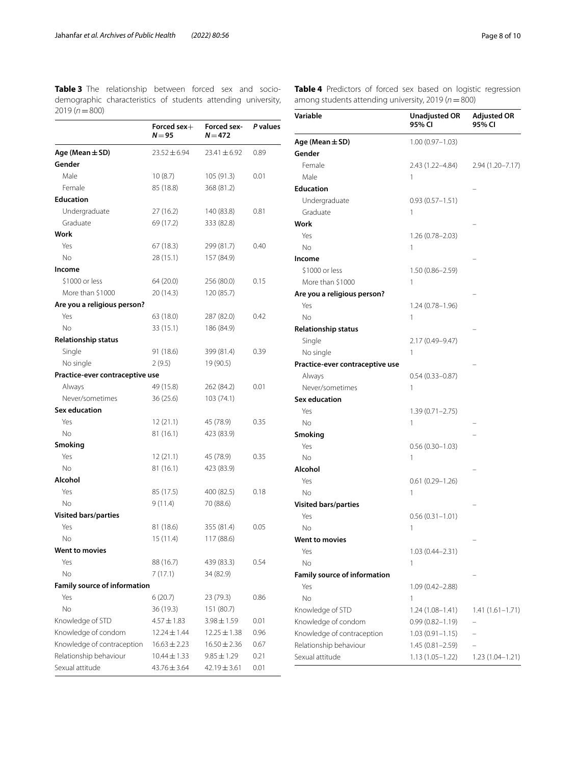<span id="page-7-0"></span>**Table 3** The relationship between forced sex and socio-**Table 4** Predictors of forced sex based on logistic regression demographic characteristics of students attending university, 2019 (*n*=800)

|                                     | Forced sex $+$<br>$N = 95$ | Forced sex-<br>$N = 472$ | P values |
|-------------------------------------|----------------------------|--------------------------|----------|
| Age (Mean $\pm$ SD)                 | $23.52 \pm 6.94$           | $23.41 \pm 6.92$         | 0.89     |
| Gender                              |                            |                          |          |
| Male                                | 10(8.7)                    | 105(91.3)                | 0.01     |
| Female                              | 85 (18.8)                  | 368 (81.2)               |          |
| <b>Education</b>                    |                            |                          |          |
| Undergraduate                       | 27(16.2)                   | 140 (83.8)               | 0.81     |
| Graduate                            | 69 (17.2)                  | 333 (82.8)               |          |
| Work                                |                            |                          |          |
| Yes                                 | 67 (18.3)                  | 299 (81.7)               | 0.40     |
| No                                  | 28 (15.1)                  | 157 (84.9)               |          |
| Income                              |                            |                          |          |
| \$1000 or less                      | 64 (20.0)                  | 256 (80.0)               | 0.15     |
| More than \$1000                    | 20 (14.3)                  | 120 (85.7)               |          |
| Are you a religious person?         |                            |                          |          |
| Yes                                 | 63 (18.0)                  | 287 (82.0)               | 0.42     |
| No                                  | 33 (15.1)                  | 186 (84.9)               |          |
| <b>Relationship status</b>          |                            |                          |          |
| Single                              | 91 (18.6)                  | 399 (81.4)               | 0.39     |
| No single                           | 2(9.5)                     | 19 (90.5)                |          |
| Practice-ever contraceptive use     |                            |                          |          |
| Always                              | 49 (15.8)                  | 262 (84.2)               | 0.01     |
| Never/sometimes                     | 36(25.6)                   | 103 (74.1)               |          |
| <b>Sex education</b>                |                            |                          |          |
| Yes                                 | 12(21.1)                   | 45 (78.9)                | 0.35     |
| No                                  | 81 (16.1)                  | 423 (83.9)               |          |
| Smoking                             |                            |                          |          |
| Yes                                 | 12(21.1)                   | 45 (78.9)                | 0.35     |
| No                                  | 81 (16.1)                  | 423 (83.9)               |          |
| Alcohol                             |                            |                          |          |
| Yes                                 | 85 (17.5)                  | 400 (82.5)               | 0.18     |
| No                                  | 9(11.4)                    | 70 (88.6)                |          |
| <b>Visited bars/parties</b>         |                            |                          |          |
| Yes                                 | 81 (18.6)                  | 355 (81.4)               | 0.05     |
| No                                  | 15(11.4)                   | 117 (88.6)               |          |
| Went to movies                      |                            |                          |          |
| Yes                                 | 88 (16.7)                  | 439 (83.3)               | 0.54     |
| No                                  | 7(17.1)                    | 34 (82.9)                |          |
| <b>Family source of information</b> |                            |                          |          |
| Yes                                 | 6(20.7)                    | 23 (79.3)                | 0.86     |
| <b>No</b>                           | 36 (19.3)                  | 151 (80.7)               |          |
| Knowledge of STD                    | $4.57 \pm 1.83$            | $3.98 \pm 1.59$          | 0.01     |
| Knowledge of condom                 | 12.24 ± 1.44               | $12.25 \pm 1.38$         | 0.96     |
| Knowledge of contraception          | $16.63 \pm 2.23$           | $16.50 \pm 2.36$         | 0.67     |
| Relationship behaviour              | $10.44 \pm 1.33$           | $9.85 \pm 1.29$          | 0.21     |
| Sexual attitude                     | 43.76 ± 3.64               | $42.19 \pm 3.61$         | 0.01     |

<span id="page-7-1"></span>

| <b>Table 4</b> Predictors of forced sex based on logistic regression |  |  |  |  |
|----------------------------------------------------------------------|--|--|--|--|
| among students attending university, 2019 ( $n = 800$ )              |  |  |  |  |

| Variable                            | <b>Unadjusted OR</b><br>95% CI | <b>Adjusted OR</b><br>95% CI |
|-------------------------------------|--------------------------------|------------------------------|
| Age (Mean ± SD)                     | $1.00(0.97 - 1.03)$            |                              |
| Gender                              |                                |                              |
| Female                              | 2.43 (1.22–4.84)               | $2.94(1.20 - 7.17)$          |
| Male                                | 1                              |                              |
| <b>Education</b>                    |                                |                              |
| Undergraduate                       | $0.93(0.57 - 1.51)$            |                              |
| Graduate                            | 1                              |                              |
| Work                                |                                |                              |
| Yes                                 | 1.26 (0.78–2.03)               |                              |
| No                                  | 1                              |                              |
| Income                              |                                |                              |
| \$1000 or less                      | $1.50(0.86 - 2.59)$            |                              |
| More than \$1000                    | 1                              |                              |
| Are you a religious person?         |                                |                              |
| Yes                                 | $1.24(0.78 - 1.96)$            |                              |
| No                                  | 1                              |                              |
| <b>Relationship status</b>          |                                |                              |
| Single                              | 2.17 (0.49–9.47)               |                              |
| No single                           | 1                              |                              |
| Practice-ever contraceptive use     |                                |                              |
| Always                              | $0.54(0.33 - 0.87)$            |                              |
| Never/sometimes                     | 1                              |                              |
| <b>Sex education</b>                |                                |                              |
| Yes                                 | $1.39(0.71 - 2.75)$            |                              |
| No                                  | 1                              |                              |
| <b>Smoking</b>                      |                                |                              |
| Yes                                 | $0.56(0.30-1.03)$              |                              |
| No                                  | 1                              |                              |
| Alcohol                             |                                |                              |
| Yes                                 | 0.61 (0.29–1.26)               |                              |
| No                                  | 1                              |                              |
| <b>Visited bars/parties</b>         |                                |                              |
| Yes                                 | $0.56(0.31 - 1.01)$            |                              |
| No                                  | 1                              |                              |
| <b>Went to movies</b>               |                                |                              |
| Yes                                 | $1.03(0.44 - 2.31)$            |                              |
| No                                  | 1                              |                              |
| <b>Family source of information</b> |                                |                              |
| Yes                                 | 1.09 (0.42–2.88)               |                              |
| No                                  | 1                              |                              |
| Knowledge of STD                    | $1.24(1.08 - 1.41)$            | $1.41(1.61-1.71)$            |
| Knowledge of condom                 | $0.99(0.82 - 1.19)$            |                              |
| Knowledge of contraception          | $1.03(0.91 - 1.15)$            |                              |
| Relationship behaviour              | $1.45(0.81 - 2.59)$            |                              |
| Sexual attitude                     | $1.13(1.05 - 1.22)$            | 1.23 (1.04–1.21)             |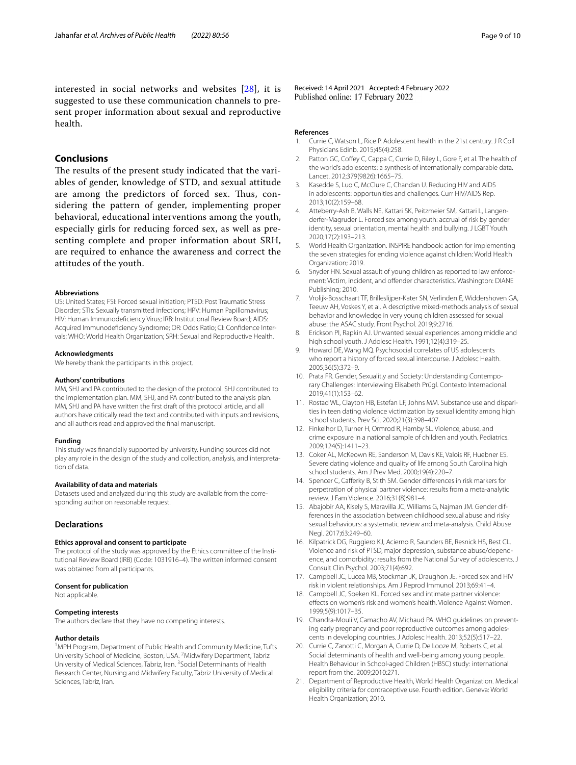interested in social networks and websites [[28\]](#page-9-6), it is suggested to use these communication channels to present proper information about sexual and reproductive health.

## **Conclusions**

The results of the present study indicated that the variables of gender, knowledge of STD, and sexual attitude are among the predictors of forced sex. Thus, considering the pattern of gender, implementing proper behavioral, educational interventions among the youth, especially girls for reducing forced sex, as well as presenting complete and proper information about SRH, are required to enhance the awareness and correct the attitudes of the youth.

#### **Abbreviations**

US: United States; FSI: Forced sexual initiation; PTSD: Post Traumatic Stress Disorder; STIs: Sexually transmitted infections; HPV: Human Papillomavirus; HIV: Human Immunodefciency Virus; IRB: Institutional Review Board; AIDS: Acquired Immunodefciency Syndrome; OR: Odds Ratio; CI: Confdence Intervals; WHO: World Health Organization; SRH: Sexual and Reproductive Health.

#### **Acknowledgments**

We hereby thank the participants in this project.

#### **Authors' contributions**

MM, SHJ and PA contributed to the design of the protocol. SHJ contributed to the implementation plan. MM, SHJ, and PA contributed to the analysis plan. MM, SHJ and PA have written the frst draft of this protocol article, and all authors have critically read the text and contributed with inputs and revisions, and all authors read and approved the fnal manuscript.

## **Funding**

This study was fnancially supported by university. Funding sources did not play any role in the design of the study and collection, analysis, and interpretation of data.

## **Availability of data and materials**

Datasets used and analyzed during this study are available from the corresponding author on reasonable request.

## **Declarations**

## **Ethics approval and consent to participate**

The protocol of the study was approved by the Ethics committee of the Institutional Review Board (IRB) (Code: 1031916–4). The written informed consent was obtained from all participants.

#### **Consent for publication**

Not applicable.

#### **Competing interests**

The authors declare that they have no competing interests.

#### **Author details**

<sup>1</sup>MPH Program, Department of Public Health and Community Medicine, Tufts University School of Medicine, Boston, USA. <sup>2</sup> Midwifery Department, Tabriz University of Medical Sciences, Tabriz, Iran. <sup>3</sup> Social Determinants of Health Research Center, Nursing and Midwifery Faculty, Tabriz University of Medical Sciences, Tabriz, Iran.

Received: 14 April 2021 Accepted: 4 February 2022 Published online: 17 February 2022

## **References**

- <span id="page-8-0"></span>1. Currie C, Watson L, Rice P. Adolescent health in the 21st century. J R Coll Physicians Edinb. 2015;45(4):258.
- <span id="page-8-1"></span>2. Patton GC, Coffey C, Cappa C, Currie D, Riley L, Gore F, et al. The health of the world's adolescents: a synthesis of internationally comparable data. Lancet. 2012;379(9826):1665–75.
- <span id="page-8-2"></span>3. Kasedde S, Luo C, McClure C, Chandan U. Reducing HIV and AIDS in adolescents: opportunities and challenges. Curr HIV/AIDS Rep. 2013;10(2):159–68.
- <span id="page-8-3"></span>4. Atteberry-Ash B, Walls NE, Kattari SK, Peitzmeier SM, Kattari L, Langenderfer-Magruder L. Forced sex among youth: accrual of risk by gender identity, sexual orientation, mental he,alth and bullying. J LGBT Youth. 2020;17(2):193–213.
- <span id="page-8-4"></span>5. World Health Organization. INSPIRE handbook: action for implementing the seven strategies for ending violence against children: World Health Organization; 2019.
- <span id="page-8-5"></span>6. Snyder HN. Sexual assault of young children as reported to law enforcement: Victim, incident, and ofender characteristics. Washington: DIANE Publishing; 2010.
- <span id="page-8-6"></span>7. Vrolijk-Bosschaart TF, Brilleslijper-Kater SN, Verlinden E, Widdershoven GA, Teeuw AH, Voskes Y, et al. A descriptive mixed-methods analysis of sexual behavior and knowledge in very young children assessed for sexual abuse: the ASAC study. Front Psychol. 2019;9:2716.
- <span id="page-8-7"></span>8. Erickson PI, Rapkin AJ. Unwanted sexual experiences among middle and high school youth. J Adolesc Health. 1991;12(4):319–25.
- <span id="page-8-8"></span>9. Howard DE, Wang MQ. Psychosocial correlates of US adolescents who report a history of forced sexual intercourse. J Adolesc Health. 2005;36(5):372–9.
- <span id="page-8-9"></span>10. Prata FR. Gender, Sexualit,y and Society: Understanding Contemporary Challenges: Interviewing Elisabeth Prügl. Contexto Internacional. 2019;41(1):153–62.
- <span id="page-8-10"></span>11. Rostad WL, Clayton HB, Estefan LF, Johns MM. Substance use and disparities in teen dating violence victimization by sexual identity among high school students. Prev Sci. 2020;21(3):398–407.
- <span id="page-8-11"></span>12. Finkelhor D, Turner H, Ormrod R, Hamby SL. Violence, abuse, and crime exposure in a national sample of children and youth. Pediatrics. 2009;124(5):1411–23.
- <span id="page-8-12"></span>13. Coker AL, McKeown RE, Sanderson M, Davis KE, Valois RF, Huebner ES. Severe dating violence and quality of life among South Carolina high school students. Am J Prev Med. 2000;19(4):220–7.
- <span id="page-8-13"></span>14. Spencer C, Cafferky B, Stith SM. Gender differences in risk markers for perpetration of physical partner violence: results from a meta-analytic review. J Fam Violence. 2016;31(8):981–4.
- <span id="page-8-14"></span>15. Abajobir AA, Kisely S, Maravilla JC, Williams G, Najman JM. Gender differences in the association between childhood sexual abuse and risky sexual behaviours: a systematic review and meta-analysis. Child Abuse Negl. 2017;63:249–60.
- <span id="page-8-15"></span>16. Kilpatrick DG, Ruggiero KJ, Acierno R, Saunders BE, Resnick HS, Best CL. Violence and risk of PTSD, major depression, substance abuse/dependence, and comorbidity: results from the National Survey of adolescents. J Consult Clin Psychol. 2003;71(4):692.
- 17. Campbell JC, Lucea MB, Stockman JK, Draughon JE. Forced sex and HIV risk in violent relationships. Am J Reprod Immunol. 2013;69:41–4.
- <span id="page-8-16"></span>18. Campbell JC, Soeken KL. Forced sex and intimate partner violence: efects on women's risk and women's health. Violence Against Women. 1999;5(9):1017–35.
- <span id="page-8-17"></span>19. Chandra-Mouli V, Camacho AV, Michaud PA. WHO guidelines on preventing early pregnancy and poor reproductive outcomes among adolescents in developing countries. J Adolesc Health. 2013;52(5):517–22.
- <span id="page-8-18"></span>20. Currie C, Zanotti C, Morgan A, Currie D, De Looze M, Roberts C, et al. Social determinants of health and well-being among young people. Health Behaviour in School-aged Children (HBSC) study: international report from the. 2009;2010:271.
- <span id="page-8-19"></span>21. Department of Reproductive Health, World Health Organization. Medical eligibility criteria for contraceptive use. Fourth edition. Geneva: World Health Organization; 2010.